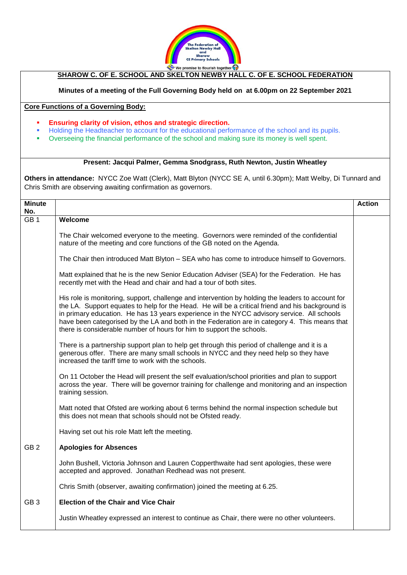

## **SHAROW C. OF E. SCHOOL AND SKELTON NEWBY HALL C. OF E. SCHOOL FEDERATION**

## **Minutes of a meeting of the Full Governing Body held on at 6.00pm on 22 September 2021**

## **Core Functions of a Governing Body:**

- **Ensuring clarity of vision, ethos and strategic direction.**
- Holding the Headteacher to account for the educational performance of the school and its pupils.
- **•** Overseeing the financial performance of the school and making sure its money is well spent.

## **Present: Jacqui Palmer, Gemma Snodgrass, Ruth Newton, Justin Wheatley**

**Others in attendance:** NYCC Zoe Watt (Clerk), Matt Blyton (NYCC SE A, until 6.30pm); Matt Welby, Di Tunnard and Chris Smith are observing awaiting confirmation as governors.

| <b>Minute</b>   |                                                                                                                                                                                                                                                                                                                                                                                                                                                                               | <b>Action</b> |
|-----------------|-------------------------------------------------------------------------------------------------------------------------------------------------------------------------------------------------------------------------------------------------------------------------------------------------------------------------------------------------------------------------------------------------------------------------------------------------------------------------------|---------------|
| No.             |                                                                                                                                                                                                                                                                                                                                                                                                                                                                               |               |
| GB <sub>1</sub> | Welcome                                                                                                                                                                                                                                                                                                                                                                                                                                                                       |               |
|                 | The Chair welcomed everyone to the meeting. Governors were reminded of the confidential<br>nature of the meeting and core functions of the GB noted on the Agenda.                                                                                                                                                                                                                                                                                                            |               |
|                 | The Chair then introduced Matt Blyton - SEA who has come to introduce himself to Governors.                                                                                                                                                                                                                                                                                                                                                                                   |               |
|                 | Matt explained that he is the new Senior Education Adviser (SEA) for the Federation. He has<br>recently met with the Head and chair and had a tour of both sites.                                                                                                                                                                                                                                                                                                             |               |
|                 | His role is monitoring, support, challenge and intervention by holding the leaders to account for<br>the LA. Support equates to help for the Head. He will be a critical friend and his background is<br>in primary education. He has 13 years experience in the NYCC advisory service. All schools<br>have been categorised by the LA and both in the Federation are in category 4. This means that<br>there is considerable number of hours for him to support the schools. |               |
|                 | There is a partnership support plan to help get through this period of challenge and it is a<br>generous offer. There are many small schools in NYCC and they need help so they have<br>increased the tariff time to work with the schools.                                                                                                                                                                                                                                   |               |
|                 | On 11 October the Head will present the self evaluation/school priorities and plan to support<br>across the year. There will be governor training for challenge and monitoring and an inspection<br>training session.                                                                                                                                                                                                                                                         |               |
|                 | Matt noted that Ofsted are working about 6 terms behind the normal inspection schedule but<br>this does not mean that schools should not be Ofsted ready.                                                                                                                                                                                                                                                                                                                     |               |
|                 | Having set out his role Matt left the meeting.                                                                                                                                                                                                                                                                                                                                                                                                                                |               |
| GB <sub>2</sub> | <b>Apologies for Absences</b>                                                                                                                                                                                                                                                                                                                                                                                                                                                 |               |
|                 | John Bushell, Victoria Johnson and Lauren Copperthwaite had sent apologies, these were<br>accepted and approved. Jonathan Redhead was not present.                                                                                                                                                                                                                                                                                                                            |               |
|                 | Chris Smith (observer, awaiting confirmation) joined the meeting at 6.25.                                                                                                                                                                                                                                                                                                                                                                                                     |               |
| GB <sub>3</sub> | <b>Election of the Chair and Vice Chair</b>                                                                                                                                                                                                                                                                                                                                                                                                                                   |               |
|                 | Justin Wheatley expressed an interest to continue as Chair, there were no other volunteers.                                                                                                                                                                                                                                                                                                                                                                                   |               |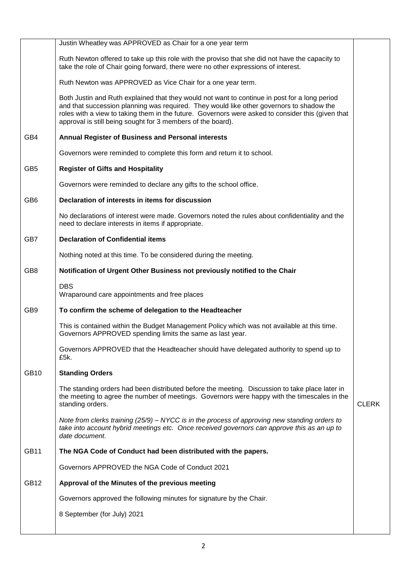|                 | Justin Wheatley was APPROVED as Chair for a one year term                                                                                                                                                                                                                                                                                                     |              |
|-----------------|---------------------------------------------------------------------------------------------------------------------------------------------------------------------------------------------------------------------------------------------------------------------------------------------------------------------------------------------------------------|--------------|
|                 | Ruth Newton offered to take up this role with the proviso that she did not have the capacity to<br>take the role of Chair going forward, there were no other expressions of interest.                                                                                                                                                                         |              |
|                 | Ruth Newton was APPROVED as Vice Chair for a one year term.                                                                                                                                                                                                                                                                                                   |              |
|                 | Both Justin and Ruth explained that they would not want to continue in post for a long period<br>and that succession planning was required. They would like other governors to shadow the<br>roles with a view to taking them in the future. Governors were asked to consider this (given that<br>approval is still being sought for 3 members of the board). |              |
| GB4             | Annual Register of Business and Personal interests                                                                                                                                                                                                                                                                                                            |              |
|                 | Governors were reminded to complete this form and return it to school.                                                                                                                                                                                                                                                                                        |              |
| GB <sub>5</sub> | <b>Register of Gifts and Hospitality</b>                                                                                                                                                                                                                                                                                                                      |              |
|                 | Governors were reminded to declare any gifts to the school office.                                                                                                                                                                                                                                                                                            |              |
| GB <sub>6</sub> | Declaration of interests in items for discussion                                                                                                                                                                                                                                                                                                              |              |
|                 | No declarations of interest were made. Governors noted the rules about confidentiality and the<br>need to declare interests in items if appropriate.                                                                                                                                                                                                          |              |
| GB7             | <b>Declaration of Confidential items</b>                                                                                                                                                                                                                                                                                                                      |              |
|                 | Nothing noted at this time. To be considered during the meeting.                                                                                                                                                                                                                                                                                              |              |
| GB <sub>8</sub> | Notification of Urgent Other Business not previously notified to the Chair                                                                                                                                                                                                                                                                                    |              |
|                 | <b>DBS</b><br>Wraparound care appointments and free places                                                                                                                                                                                                                                                                                                    |              |
| GB9             | To confirm the scheme of delegation to the Headteacher                                                                                                                                                                                                                                                                                                        |              |
|                 | This is contained within the Budget Management Policy which was not available at this time.<br>Governors APPROVED spending limits the same as last year.                                                                                                                                                                                                      |              |
|                 | Governors APPROVED that the Headteacher should have delegated authority to spend up to<br>£5k.                                                                                                                                                                                                                                                                |              |
| <b>GB10</b>     | <b>Standing Orders</b>                                                                                                                                                                                                                                                                                                                                        |              |
|                 | The standing orders had been distributed before the meeting. Discussion to take place later in<br>the meeting to agree the number of meetings. Governors were happy with the timescales in the<br>standing orders.                                                                                                                                            | <b>CLERK</b> |
|                 | Note from clerks training (25/9) – NYCC is in the process of approving new standing orders to<br>take into account hybrid meetings etc. Once received governors can approve this as an up to<br>date document.                                                                                                                                                |              |
| <b>GB11</b>     | The NGA Code of Conduct had been distributed with the papers.                                                                                                                                                                                                                                                                                                 |              |
|                 | Governors APPROVED the NGA Code of Conduct 2021                                                                                                                                                                                                                                                                                                               |              |
| <b>GB12</b>     | Approval of the Minutes of the previous meeting                                                                                                                                                                                                                                                                                                               |              |
|                 | Governors approved the following minutes for signature by the Chair.                                                                                                                                                                                                                                                                                          |              |
|                 | 8 September (for July) 2021                                                                                                                                                                                                                                                                                                                                   |              |
|                 |                                                                                                                                                                                                                                                                                                                                                               |              |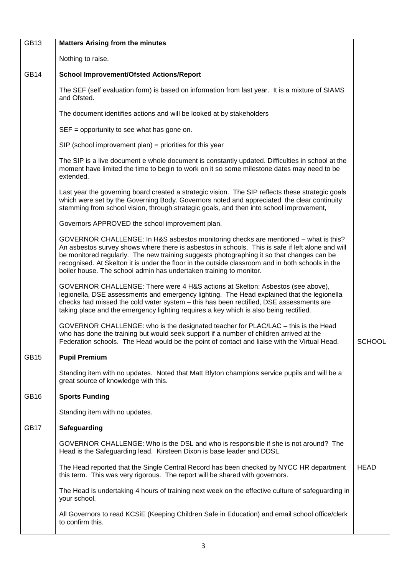| GB13        | <b>Matters Arising from the minutes</b>                                                                                                                                                                                                                                                                                                                                                                                                                        |               |  |
|-------------|----------------------------------------------------------------------------------------------------------------------------------------------------------------------------------------------------------------------------------------------------------------------------------------------------------------------------------------------------------------------------------------------------------------------------------------------------------------|---------------|--|
|             | Nothing to raise.                                                                                                                                                                                                                                                                                                                                                                                                                                              |               |  |
| <b>GB14</b> | <b>School Improvement/Ofsted Actions/Report</b>                                                                                                                                                                                                                                                                                                                                                                                                                |               |  |
|             | The SEF (self evaluation form) is based on information from last year. It is a mixture of SIAMS<br>and Ofsted.                                                                                                                                                                                                                                                                                                                                                 |               |  |
|             | The document identifies actions and will be looked at by stakeholders                                                                                                                                                                                                                                                                                                                                                                                          |               |  |
|             | $SEF =$ opportunity to see what has gone on.                                                                                                                                                                                                                                                                                                                                                                                                                   |               |  |
|             | $SIP$ (school improvement plan) = priorities for this year                                                                                                                                                                                                                                                                                                                                                                                                     |               |  |
|             | The SIP is a live document e whole document is constantly updated. Difficulties in school at the<br>moment have limited the time to begin to work on it so some milestone dates may need to be<br>extended.                                                                                                                                                                                                                                                    |               |  |
|             | Last year the governing board created a strategic vision. The SIP reflects these strategic goals<br>which were set by the Governing Body. Governors noted and appreciated the clear continuity<br>stemming from school vision, through strategic goals, and then into school improvement,                                                                                                                                                                      |               |  |
|             | Governors APPROVED the school improvement plan.                                                                                                                                                                                                                                                                                                                                                                                                                |               |  |
|             | GOVERNOR CHALLENGE: In H&S asbestos monitoring checks are mentioned - what is this?<br>An asbestos survey shows where there is asbestos in schools. This is safe if left alone and will<br>be monitored regularly. The new training suggests photographing it so that changes can be<br>recognised. At Skelton it is under the floor in the outside classroom and in both schools in the<br>boiler house. The school admin has undertaken training to monitor. |               |  |
|             | GOVERNOR CHALLENGE: There were 4 H&S actions at Skelton: Asbestos (see above),<br>legionella, DSE assessments and emergency lighting. The Head explained that the legionella<br>checks had missed the cold water system - this has been rectified, DSE assessments are<br>taking place and the emergency lighting requires a key which is also being rectified.                                                                                                |               |  |
|             | GOVERNOR CHALLENGE: who is the designated teacher for PLAC/LAC - this is the Head<br>who has done the training but would seek support if a number of children arrived at the<br>Federation schools. The Head would be the point of contact and liaise with the Virtual Head.                                                                                                                                                                                   | <b>SCHOOL</b> |  |
| <b>GB15</b> | <b>Pupil Premium</b>                                                                                                                                                                                                                                                                                                                                                                                                                                           |               |  |
|             | Standing item with no updates. Noted that Matt Blyton champions service pupils and will be a<br>great source of knowledge with this.                                                                                                                                                                                                                                                                                                                           |               |  |
| <b>GB16</b> | <b>Sports Funding</b>                                                                                                                                                                                                                                                                                                                                                                                                                                          |               |  |
|             | Standing item with no updates.                                                                                                                                                                                                                                                                                                                                                                                                                                 |               |  |
| GB17        | Safeguarding                                                                                                                                                                                                                                                                                                                                                                                                                                                   |               |  |
|             | GOVERNOR CHALLENGE: Who is the DSL and who is responsible if she is not around? The<br>Head is the Safeguarding lead. Kirsteen Dixon is base leader and DDSL                                                                                                                                                                                                                                                                                                   |               |  |
|             | The Head reported that the Single Central Record has been checked by NYCC HR department<br>this term. This was very rigorous. The report will be shared with governors.                                                                                                                                                                                                                                                                                        | <b>HEAD</b>   |  |
|             | The Head is undertaking 4 hours of training next week on the effective culture of safeguarding in<br>your school.                                                                                                                                                                                                                                                                                                                                              |               |  |
|             | All Governors to read KCSiE (Keeping Children Safe in Education) and email school office/clerk<br>to confirm this.                                                                                                                                                                                                                                                                                                                                             |               |  |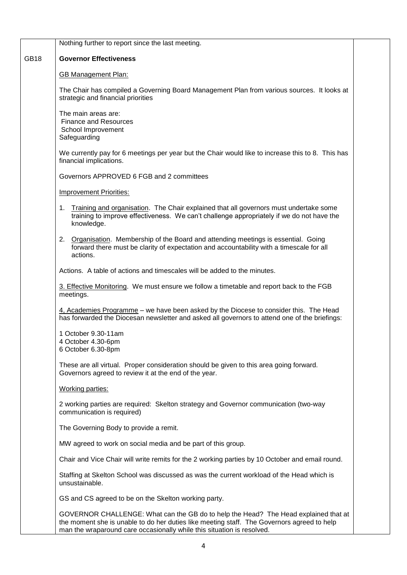|             | Nothing further to report since the last meeting.                                                                                                                                                                                                           |  |  |  |
|-------------|-------------------------------------------------------------------------------------------------------------------------------------------------------------------------------------------------------------------------------------------------------------|--|--|--|
| <b>GB18</b> | <b>Governor Effectiveness</b>                                                                                                                                                                                                                               |  |  |  |
|             | <b>GB Management Plan:</b>                                                                                                                                                                                                                                  |  |  |  |
|             | The Chair has compiled a Governing Board Management Plan from various sources. It looks at<br>strategic and financial priorities                                                                                                                            |  |  |  |
|             | The main areas are:<br><b>Finance and Resources</b><br>School Improvement<br>Safeguarding                                                                                                                                                                   |  |  |  |
|             | We currently pay for 6 meetings per year but the Chair would like to increase this to 8. This has<br>financial implications.                                                                                                                                |  |  |  |
|             | Governors APPROVED 6 FGB and 2 committees                                                                                                                                                                                                                   |  |  |  |
|             | <b>Improvement Priorities:</b>                                                                                                                                                                                                                              |  |  |  |
|             | Training and organisation. The Chair explained that all governors must undertake some<br>1.<br>training to improve effectiveness. We can't challenge appropriately if we do not have the<br>knowledge.                                                      |  |  |  |
|             | 2. Organisation. Membership of the Board and attending meetings is essential. Going<br>forward there must be clarity of expectation and accountability with a timescale for all<br>actions.                                                                 |  |  |  |
|             | Actions. A table of actions and timescales will be added to the minutes.                                                                                                                                                                                    |  |  |  |
|             | 3. Effective Monitoring. We must ensure we follow a timetable and report back to the FGB<br>meetings.                                                                                                                                                       |  |  |  |
|             | 4, Academies Programme - we have been asked by the Diocese to consider this. The Head<br>has forwarded the Diocesan newsletter and asked all governors to attend one of the briefings:                                                                      |  |  |  |
|             | 1 October 9.30-11am<br>4 October 4.30-6pm<br>6 October 6.30-8pm                                                                                                                                                                                             |  |  |  |
|             | These are all virtual. Proper consideration should be given to this area going forward.<br>Governors agreed to review it at the end of the year.                                                                                                            |  |  |  |
|             | <b>Working parties:</b>                                                                                                                                                                                                                                     |  |  |  |
|             | 2 working parties are required: Skelton strategy and Governor communication (two-way<br>communication is required)                                                                                                                                          |  |  |  |
|             | The Governing Body to provide a remit.                                                                                                                                                                                                                      |  |  |  |
|             | MW agreed to work on social media and be part of this group.                                                                                                                                                                                                |  |  |  |
|             | Chair and Vice Chair will write remits for the 2 working parties by 10 October and email round.                                                                                                                                                             |  |  |  |
|             | Staffing at Skelton School was discussed as was the current workload of the Head which is<br>unsustainable.                                                                                                                                                 |  |  |  |
|             | GS and CS agreed to be on the Skelton working party.                                                                                                                                                                                                        |  |  |  |
|             | GOVERNOR CHALLENGE: What can the GB do to help the Head? The Head explained that at<br>the moment she is unable to do her duties like meeting staff. The Governors agreed to help<br>man the wraparound care occasionally while this situation is resolved. |  |  |  |

 $\lfloor$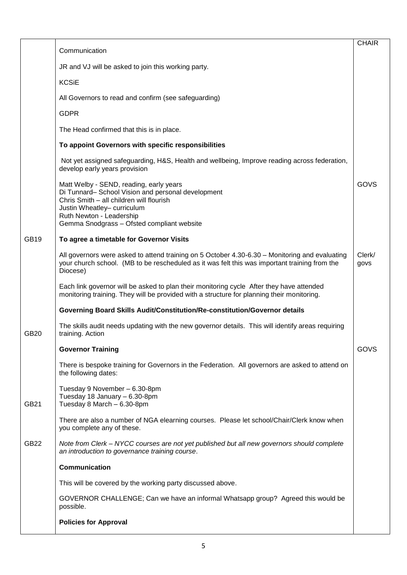|             | Communication                                                                                                                                                                                               | <b>CHAIR</b>   |
|-------------|-------------------------------------------------------------------------------------------------------------------------------------------------------------------------------------------------------------|----------------|
|             | JR and VJ will be asked to join this working party.                                                                                                                                                         |                |
|             | <b>KCSiE</b>                                                                                                                                                                                                |                |
|             | All Governors to read and confirm (see safeguarding)                                                                                                                                                        |                |
|             | <b>GDPR</b>                                                                                                                                                                                                 |                |
|             | The Head confirmed that this is in place.                                                                                                                                                                   |                |
|             | To appoint Governors with specific responsibilities                                                                                                                                                         |                |
|             |                                                                                                                                                                                                             |                |
|             | Not yet assigned safeguarding, H&S, Health and wellbeing, Improve reading across federation,<br>develop early years provision                                                                               |                |
|             | Matt Welby - SEND, reading, early years<br>Di Tunnard- School Vision and personal development<br>Chris Smith - all children will flourish<br>Justin Wheatley- curriculum<br>Ruth Newton - Leadership        | GOVS           |
|             | Gemma Snodgrass - Ofsted compliant website                                                                                                                                                                  |                |
| GB19        | To agree a timetable for Governor Visits                                                                                                                                                                    |                |
|             | All governors were asked to attend training on 5 October 4.30-6.30 – Monitoring and evaluating<br>your church school. (MB to be rescheduled as it was felt this was important training from the<br>Diocese) | Clerk/<br>govs |
|             | Each link governor will be asked to plan their monitoring cycle After they have attended<br>monitoring training. They will be provided with a structure for planning their monitoring.                      |                |
|             | Governing Board Skills Audit/Constitution/Re-constitution/Governor details                                                                                                                                  |                |
| GB20        | The skills audit needs updating with the new governor details. This will identify areas requiring<br>training. Action                                                                                       |                |
|             | <b>Governor Training</b>                                                                                                                                                                                    | GOVS           |
|             | There is bespoke training for Governors in the Federation. All governors are asked to attend on<br>the following dates:                                                                                     |                |
| GB21        | Tuesday 9 November - 6.30-8pm<br>Tuesday 18 January - 6.30-8pm<br>Tuesday 8 March - 6.30-8pm                                                                                                                |                |
|             | There are also a number of NGA elearning courses. Please let school/Chair/Clerk know when<br>you complete any of these.                                                                                     |                |
| <b>GB22</b> | Note from Clerk - NYCC courses are not yet published but all new governors should complete<br>an introduction to governance training course.                                                                |                |
|             | Communication                                                                                                                                                                                               |                |
|             | This will be covered by the working party discussed above.                                                                                                                                                  |                |
|             | GOVERNOR CHALLENGE; Can we have an informal Whatsapp group? Agreed this would be<br>possible.                                                                                                               |                |
|             | <b>Policies for Approval</b>                                                                                                                                                                                |                |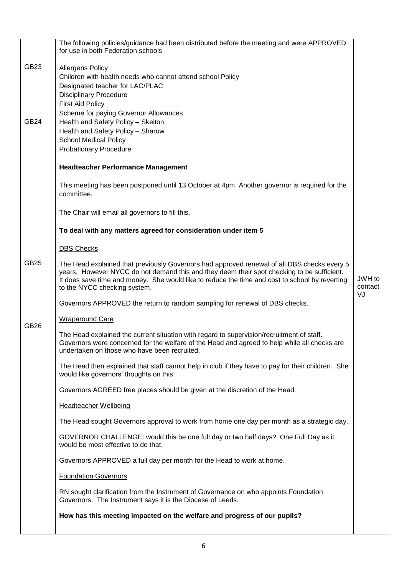|                  | The following policies/guidance had been distributed before the meeting and were APPROVED<br>for use in both Federation schools                                                                                                                                                                                             |                         |
|------------------|-----------------------------------------------------------------------------------------------------------------------------------------------------------------------------------------------------------------------------------------------------------------------------------------------------------------------------|-------------------------|
| GB <sub>23</sub> | <b>Allergens Policy</b><br>Children with health needs who cannot attend school Policy<br>Designated teacher for LAC/PLAC<br><b>Disciplinary Procedure</b><br><b>First Aid Policy</b><br>Scheme for paying Governor Allowances                                                                                               |                         |
| <b>GB24</b>      | Health and Safety Policy - Skelton<br>Health and Safety Policy - Sharow<br><b>School Medical Policy</b><br><b>Probationary Procedure</b><br><b>Headteacher Performance Management</b>                                                                                                                                       |                         |
|                  | This meeting has been postponed until 13 October at 4pm. Another governor is required for the<br>committee.                                                                                                                                                                                                                 |                         |
|                  | The Chair will email all governors to fill this.                                                                                                                                                                                                                                                                            |                         |
|                  | To deal with any matters agreed for consideration under item 5                                                                                                                                                                                                                                                              |                         |
|                  | <b>DBS Checks</b>                                                                                                                                                                                                                                                                                                           |                         |
| GB25             | The Head explained that previously Governors had approved renewal of all DBS checks every 5<br>years. However NYCC do not demand this and they deem their spot checking to be sufficient.<br>It does save time and money. She would like to reduce the time and cost to school by reverting<br>to the NYCC checking system. | JWH to<br>contact<br>VJ |
|                  | Governors APPROVED the return to random sampling for renewal of DBS checks.                                                                                                                                                                                                                                                 |                         |
| <b>GB26</b>      | <b>Wraparound Care</b>                                                                                                                                                                                                                                                                                                      |                         |
|                  | The Head explained the current situation with regard to supervision/recruitment of staff.<br>Governors were concerned for the welfare of the Head and agreed to help while all checks are<br>undertaken on those who have been recruited.                                                                                   |                         |
|                  | The Head then explained that staff cannot help in club if they have to pay for their children. She<br>would like governors' thoughts on this.                                                                                                                                                                               |                         |
|                  | Governors AGREED free places should be given at the discretion of the Head.                                                                                                                                                                                                                                                 |                         |
|                  | <b>Headteacher Wellbeing</b>                                                                                                                                                                                                                                                                                                |                         |
|                  | The Head sought Governors approval to work from home one day per month as a strategic day.                                                                                                                                                                                                                                  |                         |
|                  | GOVERNOR CHALLENGE: would this be one full day or two half days? One Full Day as it<br>would be most effective to do that.                                                                                                                                                                                                  |                         |
|                  | Governors APPROVED a full day per month for the Head to work at home.                                                                                                                                                                                                                                                       |                         |
|                  | <b>Foundation Governors</b>                                                                                                                                                                                                                                                                                                 |                         |
|                  | RN sought clarification from the Instrument of Governance on who appoints Foundation<br>Governors. The Instrument says it is the Diocese of Leeds.                                                                                                                                                                          |                         |
|                  | How has this meeting impacted on the welfare and progress of our pupils?                                                                                                                                                                                                                                                    |                         |